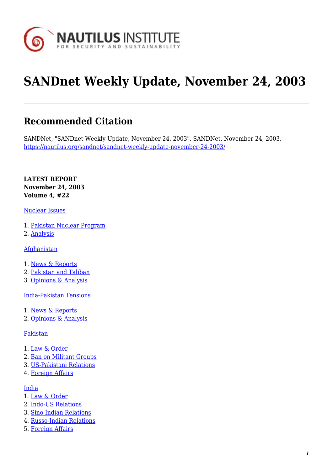

# **SANDnet Weekly Update, November 24, 2003**

# **Recommended Citation**

SANDNet, "SANDnet Weekly Update, November 24, 2003", SANDNet, November 24, 2003, <https://nautilus.org/sandnet/sandnet-weekly-update-november-24-2003/>

**LATEST REPORT November 24, 2003 Volume 4, #22**

#### [Nuclear Issues](https://nautilus.org/?p=43628&preview=true#nuclear)

- 1. [Pakistan Nuclear Program](https://nautilus.org/?p=43628&preview=true#paknuclear)
- 2. [Analysis](https://nautilus.org/?p=43628&preview=true#analysis)

**[Afghanistan](https://nautilus.org/?p=43628&preview=true#afghanistan)** 

- 1. [News & Reports](https://nautilus.org/?p=43628&preview=true#afghannews)
- 2. [Pakistan and Taliban](https://nautilus.org/?p=43628&preview=true#paktaliban)
- 3. [Opinions & Analysis](https://nautilus.org/?p=43628&preview=true#afghanopinions)

[India-Pakistan Tensions](https://nautilus.org/?p=43628&preview=true#indiapak)

- 1. [News & Reports](https://nautilus.org/?p=43628&preview=true#indianews)
- 2. [Opinions & Analysis](https://nautilus.org/?p=43628&preview=true#indiaopinions)

#### [Pakistan](https://nautilus.org/?p=43628&preview=true#pakistan)

- 1. [Law & Order](https://nautilus.org/?p=43628&preview=true#pakistanlaw)
- 2. [Ban on Militant Groups](https://nautilus.org/?p=43628&preview=true#pakistanban)
- 3. [US-Pakistani Relations](https://nautilus.org/?p=43628&preview=true#pakistanus)
- 4. [Foreign Affairs](https://nautilus.org/?p=43628&preview=true#pakistanforeign)

#### [India](https://nautilus.org/?p=43628&preview=true#india)

- 1. [Law & Order](https://nautilus.org/?p=43628&preview=true#indialaw)
- 2. [Indo-US Relations](https://nautilus.org/?p=43628&preview=true#indiaindo)
- 3. [Sino-Indian Relations](https://nautilus.org/?p=43628&preview=true#sinoindian)
- 4. [Russo-Indian Relations](https://nautilus.org/?p=43628&preview=true#russoindian)
- 5. [Foreign Affairs](https://nautilus.org/?p=43628&preview=true#indiaforeign)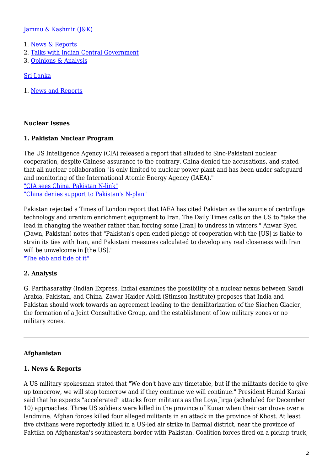#### [Jammu & Kashmir \(J&K\)](https://nautilus.org/?p=43628&preview=true#jk)

- 1. [News & Reports](https://nautilus.org/?p=43628&preview=true#jknews)
- 2. [Talks with Indian Central Government](https://nautilus.org/?p=43628&preview=true#jktalks)
- 3. [Opinions & Analysis](https://nautilus.org/?p=43628&preview=true#jkopinions)

#### [Sri Lanka](https://nautilus.org/?p=43628&preview=true#sri)

1. [News and Reports](https://nautilus.org/?p=43628&preview=true#srinews)

#### **Nuclear Issues**

#### **1. Pakistan Nuclear Program**

The US Intelligence Agency (CIA) released a report that alluded to Sino-Pakistani nuclear cooperation, despite Chinese assurance to the contrary. China denied the accusations, and stated that all nuclear collaboration "is only limited to nuclear power plant and has been under safeguard and monitoring of the International Atomic Energy Agency (IAEA)."

["CIA sees China, Pakistan N-link"](http://www.dawn.com/news/125024/cia-sees-china-pakistan-n-link) ["China denies support to Pakistan's N-plan"](http://www.dawn.com/news/125508/china-denies-support-to-pakistan-s-n-plan)

Pakistan rejected a Times of London report that IAEA has cited Pakistan as the source of centrifuge technology and uranium enrichment equipment to Iran. The Daily Times calls on the US to "take the lead in changing the weather rather than forcing some [Iran] to undress in winters." Anwar Syed (Dawn, Pakistan) notes that "Pakistan's open-ended pledge of cooperation with the [US] is liable to strain its ties with Iran, and Pakistani measures calculated to develop any real closeness with Iran will be unwelcome in [the US]."

["The ebb and tide of it"](http://www.dawn.com/news/1065275/dawn-opinion-november-16-2003#1)

#### **2. Analysis**

G. Parthasarathy (Indian Express, India) examines the possibility of a nuclear nexus between Saudi Arabia, Pakistan, and China. Zawar Haider Abidi (Stimson Institute) proposes that India and Pakistan should work towards an agreement leading to the demilitarization of the Siachen Glacier, the formation of a Joint Consultative Group, and the establishment of low military zones or no military zones.

#### **Afghanistan**

#### **1. News & Reports**

A US military spokesman stated that "We don't have any timetable, but if the militants decide to give up tomorrow, we will stop tomorrow and if they continue we will continue." President Hamid Karzai said that he expects "accelerated" attacks from militants as the Loya Jirga (scheduled for December 10) approaches. Three US soldiers were killed in the province of Kunar when their car drove over a landmine. Afghan forces killed four alleged militants in an attack in the province of Khost. At least five civilians were reportedly killed in a US-led air strike in Barmal district, near the province of Paktika on Afghanistan's southeastern border with Pakistan. Coalition forces fired on a pickup truck,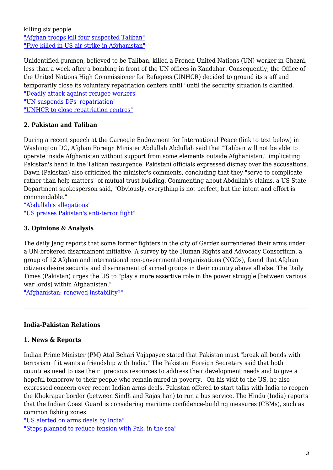killing six people. ["Afghan troops kill four suspected Taliban"](http://www.nwitimes.com/news/afghan-troops-kill-four-suspected-taliban/article_cd9111ad-1671-5907-bbfc-c529e0ec4c42.html) ["Five killed in US air strike in Afghanistan"](http://www.abc.net.au/news/2003-11-18/five-killed-in-us-air-strike-in-afghanistan/1510552)

Unidentified gunmen, believed to be Taliban, killed a French United Nations (UN) worker in Ghazni, less than a week after a bombing in front of the UN offices in Kandahar. Consequently, the Office of the United Nations High Commissioner for Refugees (UNHCR) decided to ground its staff and temporarily close its voluntary repatriation centers until "until the security situation is clarified." ["Deadly attack against refugee workers"](http://www.un.org/apps/news/story.asp?NewsID=8900&Cr=Afghanistan&Cr1=)

["UN suspends DPs' repatriation"](http://www.dawn.com/news/125501/un-suspends-dps-repatriation-staff-in-afghanistan-grounded)

["UNHCR to close repatriation centres"](http://www.irinnews.org/report/21357/pakistan-unhcr-to-close-repatriation-centres-for-afghans-following-sunday-s-attack)

# **2. Pakistan and Taliban**

During a recent speech at the Carnegie Endowment for International Peace (link to text below) in Washington DC, Afghan Foreign Minister Abdullah Abdullah said that "Taliban will not be able to operate inside Afghanistan without support from some elements outside Afghanistan," implicating Pakistan's hand in the Taliban resurgence. Pakistani officials expressed dismay over the accusations. Dawn (Pakistan) also criticized the minister's comments, concluding that they "serve to complicate rather than help matters" of mutual trust building. Commenting about Abdullah's claims, a US State Department spokesperson said, "Obviously, everything is not perfect, but the intent and effort is commendable."

["Abdullah's allegations"](http://www.dawn.com/news/1065272/dawn-editorial-november-16-2003#1) ["US praises Pakistan's anti-terror fight"](http://www.dawn.com/news/125137/us-praises-pakistan-s-anti-terror-fight)

# **3. Opinions & Analysis**

The daily Jang reports that some former fighters in the city of Gardez surrendered their arms under a UN-brokered disarmament initiative. A survey by the Human Rights and Advocacy Consortium, a group of 12 Afghan and international non-governmental organizations (NGOs), found that Afghan citizens desire security and disarmament of armed groups in their country above all else. The Daily Times (Pakistan) urges the US to "play a more assertive role in the power struggle [between various war lords] within Afghanistan."

["Afghanistan: renewed instability?"](http://archives.dailytimes.com.pk/editorial/14-Nov-2003/editorial-afghanistan-renewed-instability)

#### **India-Pakistan Relations**

#### **1. News & Reports**

Indian Prime Minister (PM) Atal Behari Vajapayee stated that Pakistan must "break all bonds with terrorism if it wants a friendship with India." The Pakistani Foreign Secretary said that both countries need to use their "precious resources to address their development needs and to give a hopeful tomorrow to their people who remain mired in poverty." On his visit to the US, he also expressed concern over recent Indian arms deals. Pakistan offered to start talks with India to reopen the Khokrapar border (between Sindh and Rajasthan) to run a bus service. The Hindu (India) reports that the Indian Coast Guard is considering maritime confidence-building measures (CBMs), such as common fishing zones.

["US alerted on arms deals by India"](http://www.dawn.com/news/125191/us-alerted-on-arms-deals-by-india) ["Steps planned to reduce tension with Pak. in the sea"](http://www.thehindu.com/thehindu/2003/11/12/stories/2003111202711200.htm)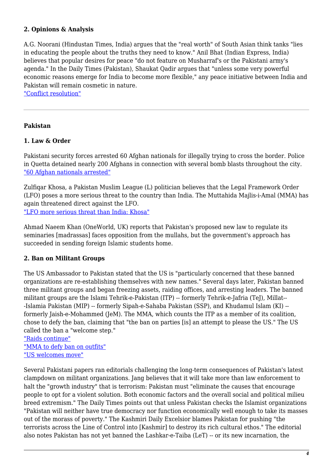# **2. Opinions & Analysis**

A.G. Noorani (Hindustan Times, India) argues that the "real worth" of South Asian think tanks "lies in educating the people about the truths they need to know." Anil Bhat (Indian Express, India) believes that popular desires for peace "do not feature on Musharraf's or the Pakistani army's agenda." In the Daily Times (Pakistan), Shaukat Qadir argues that "unless some very powerful economic reasons emerge for India to become more flexible," any peace initiative between India and Pakistan will remain cosmetic in nature.

["Conflict resolution"](http://archives.dailytimes.com.pk/editorial/15-Nov-2003/op-ed-conflict-resolution-shaukat-qadir)

#### **Pakistan**

#### **1. Law & Order**

Pakistani security forces arrested 60 Afghan nationals for illegally trying to cross the border. Police in Quetta detained nearly 200 Afghans in connection with several bomb blasts throughout the city. ["60 Afghan nationals arrested"](http://www.dawn.com/news/125286/60-afghan-nationals-arrested)

Zulfiqar Khosa, a Pakistan Muslim League (L) politician believes that the Legal Framework Order (LFO) poses a more serious threat to the country than India. The Muttahida Majlis-i-Amal (MMA) has again threatened direct against the LFO. ["LFO more serious threat than India: Khosa"](https://www.google.com/url?q=http://www.dawn.com/news/124520/lfo-more-serious-threat-than-india-khosa&sa=U&ei=l5SNVYayNYWxyAT8y6HQBA&ved=0CAUQFjAA&client=internal-uds-cse&usg=AFQjCNFo4aYZr4-UVDWtq0cmQUFdiqZx-Q)

Ahmad Naeem Khan (OneWorld, UK) reports that Pakistan's proposed new law to regulate its seminaries [madrassas] faces opposition from the mullahs, but the government's approach has succeeded in sending foreign Islamic students home.

#### **2. Ban on Militant Groups**

The US Ambassador to Pakistan stated that the US is "particularly concerned that these banned organizations are re-establishing themselves with new names." Several days later, Pakistan banned three militant groups and began freezing assets, raiding offices, and arresting leaders. The banned militant groups are the Islami Tehrik-e-Pakistan (ITP) -- formerly Tehrik-e-Jafria (TeJ), Millat-- -Islamia Pakistan (MIP) -- formerly Sipah-e-Sahaba Pakistan (SSP), and Khudamul Islam (KI) - formerly Jaish-e-Mohammed (JeM). The MMA, which counts the ITP as a member of its coalition, chose to defy the ban, claiming that "the ban on parties [is] an attempt to please the US." The US called the ban a "welcome step."

["Raids continue"](http://www.dawn.com/news/125317/raids-continue-25-offices-of-banned-outfits-sealed-in-pindi) ["MMA to defy ban on outfits"](http://article.wn.com/view/2003/11/19/MMA_to_defy_ban_on_outfits/) ["US welcomes move"](http://www.dawn.com/news/125345/us-welcomes-move)

Several Pakistani papers ran editorials challenging the long-term consequences of Pakistan's latest clampdown on militant organizations. Jang believes that it will take more than law enforcement to halt the "growth industry" that is terrorism: Pakistan must "eliminate the causes that encourage people to opt for a violent solution. Both economic factors and the overall social and political milieu breed extremism." The Daily Times points out that unless Pakistan checks the Islamist organizations "Pakistan will neither have true democracy nor function economically well enough to take its masses out of the morass of poverty." The Kashmiri Daily Excelsior blames Pakistan for pushing "the terrorists across the Line of Control into [Kashmir] to destroy its rich cultural ethos." The editorial also notes Pakistan has not yet banned the Lashkar-e-Taiba (LeT) -- or its new incarnation, the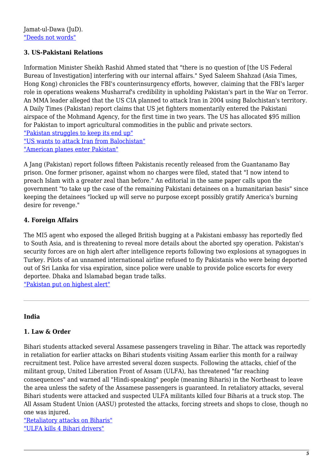# **3. US-Pakistani Relations**

Information Minister Sheikh Rashid Ahmed stated that "there is no question of [the US Federal Bureau of Investigation] interfering with our internal affairs." Syed Saleem Shahzad (Asia Times, Hong Kong) chronicles the FBI's counterinsurgency efforts, however, claiming that the FBI's larger role in operations weakens Musharraf's credibility in upholding Pakistan's part in the War on Terror. An MMA leader alleged that the US CIA planned to attack Iran in 2004 using Balochistan's territory. A Daily Times (Pakistan) report claims that US jet fighters momentarily entered the Pakistani airspace of the Mohmand Agency, for the first time in two years. The US has allocated \$95 million for Pakistan to import agricultural commodities in the public and private sectors. ["Pakistan struggles to keep its end up"](http://www.atimes.com/atimes/South_Asia/EK19Df04.html) ["US wants to attack Iran from Balochistan"](http://www.dawn.com/news/124639/us-wants-to-attack-iran-from-balochistan-coast-mma-leader) ["American planes enter Pakistan"](http://archives.dailytimes.com.pk/national/14-Nov-2003/american-planes-enter-pakistan)

A Jang (Pakistan) report follows fifteen Pakistanis recently released from the Guantanamo Bay prison. One former prisoner, against whom no charges were filed, stated that "I now intend to preach Islam with a greater zeal than before." An editorial in the same paper calls upon the government "to take up the case of the remaining Pakistani detainees on a humanitarian basis" since keeping the detainees "locked up will serve no purpose except possibly gratify America's burning desire for revenge."

# **4. Foreign Affairs**

The MI5 agent who exposed the alleged British bugging at a Pakistani embassy has reportedly fled to South Asia, and is threatening to reveal more details about the aborted spy operation. Pakistan's security forces are on high alert after intelligence reports following two explosions at synagogues in Turkey. Pilots of an unnamed international airline refused to fly Pakistanis who were being deported out of Sri Lanka for visa expiration, since police were unable to provide police escorts for every deportee. Dhaka and Islamabad began trade talks.

["Pakistan put on highest alert"](http://www.freerepublic.com/focus/news/1022685/posts)

#### **India**

#### **1. Law & Order**

Bihari students attacked several Assamese passengers traveling in Bihar. The attack was reportedly in retaliation for earlier attacks on Bihari students visiting Assam earlier this month for a railway recruitment test. Police have arrested several dozen suspects. Following the attacks, chief of the militant group, United Liberation Front of Assam (ULFA), has threatened "far reaching consequences" and warned all "Hindi-speaking" people (meaning Biharis) in the Northeast to leave the area unless the safety of the Assamese passengers is guaranteed. In retaliatory attacks, several Bihari students were attacked and suspected ULFA militants killed four Biharis at a truck stop. The All Assam Student Union (AASU) protested the attacks, forcing streets and shops to close, though no one was injured.

["Retaliatory attacks on Biharis"](http://www.thehindu.com/2003/11/16/stories/2003111606220100.htm) ["ULFA kills 4 Bihari drivers"](http://www.thehindu.com/2003/11/19/stories/2003111907720100.htm)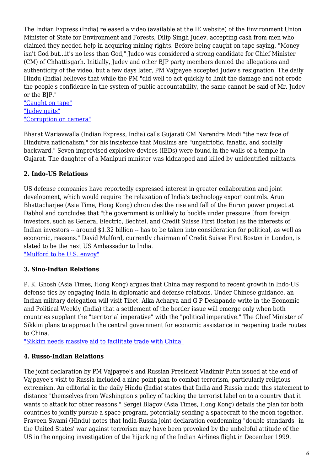The Indian Express (India) released a video (available at the IE website) of the Environment Union Minister of State for Environment and Forests, Dilip Singh Judev, accepting cash from men who claimed they needed help in acquiring mining rights. Before being caught on tape saying, "Money isn't God but...it's no less than God," Judeo was considered a strong candidate for Chief Minister (CM) of Chhattisgarh. Initially, Judev and other BJP party members denied the allegations and authenticity of the video, but a few days later, PM Vajpayee accepted Judev's resignation. The daily Hindu (India) believes that while the PM "did well to act quickly to limit the damage and not erode the people's confidence in the system of public accountability, the same cannot be said of Mr. Judev or the BJP."

["Caught on tape"](http://archive.indianexpress.com/storyOld.php?storyId=35460) ["Judev quits"](http://www.thehindu.com/2003/11/18/stories/2003111806690100.htm) ["Corruption on camera"](http://www.thehindu.com/2003/11/18/stories/2003111803691000.htm)

Bharat Wariavwalla (Indian Express, India) calls Gujarati CM Narendra Modi "the new face of Hindutva nationalism," for his insistence that Muslims are "unpatriotic, fanatic, and socially backward." Seven improvised explosive devices (IEDs) were found in the walls of a temple in Gujarat. The daughter of a Manipuri minister was kidnapped and killed by unidentified militants.

# **2. Indo-US Relations**

US defense companies have reportedly expressed interest in greater collaboration and joint development, which would require the relaxation of India's technology export controls. Arun Bhattachariee (Asia Time, Hong Kong) chronicles the rise and fall of the Enron power project at Dabhol and concludes that "the government is unlikely to buckle under pressure [from foreign investors, such as General Electric, Bechtel, and Credit Suisse First Boston] as the interests of Indian investors -- around \$1.32 billion -- has to be taken into consideration for political, as well as economic, reasons." David Mulford, currently chairman of Credit Suisse First Boston in London, is slated to be the next US Ambassador to India.

["Mulford to be U.S. envoy"](http://www.thehindu.com/2003/11/15/stories/2003111504430101.htm)

# **3. Sino-Indian Relations**

P. K. Ghosh (Asia Times, Hong Kong) argues that China may respond to recent growth in Indo-US defense ties by engaging India in diplomatic and defense relations. Under Chinese guidance, an Indian military delegation will visit Tibet. Alka Acharya and G P Deshpande write in the Economic and Political Weekly (India) that a settlement of the border issue will emerge only when both countries supplant the "territorial imperative" with the "political imperative." The Chief Minister of Sikkim plans to approach the central government for economic assistance in reopening trade routes to China.

["Sikkim needs massive aid to facilitate trade with China"](http://www.thehindu.com/2003/11/15/stories/2003111501531200.htm)

# **4. Russo-Indian Relations**

The joint declaration by PM Vajpayee's and Russian President Vladimir Putin issued at the end of Vajpayee's visit to Russia included a nine-point plan to combat terrorism, particularly religious extremism. An editorial in the daily Hindu (India) states that India and Russia made this statement to distance "themselves from Washington's policy of tacking the terrorist label on to a country that it wants to attack for other reasons." Sergei Blagov (Asia Times, Hong Kong) details the plan for both countries to jointly pursue a space program, potentially sending a spacecraft to the moon together. Praveen Swami (Hindu) notes that India-Russia joint declaration condemning "double standards" in the United States' war against terrorism may have been provoked by the unhelpful attitude of the US in the ongoing investigation of the hijacking of the Indian Airlines flight in December 1999.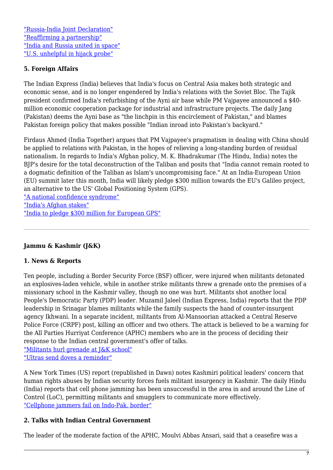["Russia-India Joint Declaration"](http://www.outlookindia.com/article/give-up-double-standards/222027) ["Reaffirming a partnership"](http://www.thehindu.com/2003/11/17/stories/2003111700621000.htm) ["India and Russia united in space"](http://www.atimes.com/atimes/Central_Asia/EK14Ag01.html) ["U.S. unhelpful in hijack probe"](http://www.thehindu.com/2003/11/14/stories/2003111402811100.htm)

# **5. Foreign Affairs**

The Indian Express (India) believes that India's focus on Central Asia makes both strategic and economic sense, and is no longer engendered by India's relations with the Soviet Bloc. The Tajik president confirmed India's refurbishing of the Ayni air base while PM Vajpayee announced a \$40 million economic cooperation package for industrial and infrastructure projects. The daily Jang (Pakistan) deems the Ayni base as "the linchpin in this encirclement of Pakistan," and blames Pakistan foreign policy that makes possible "Indian inroad into Pakistan's backyard."

Firdaus Ahmed (India Together) argues that PM Vajpayee's pragmatism in dealing with China should be applied to relations with Pakistan, in the hopes of relieving a long-standing burden of residual nationalism. In regards to India's Afghan policy, M. K. Bhadrakumar (The Hindu, India) notes the BJP's desire for the total deconstruction of the Taliban and posits that "India cannot remain rooted to a dogmatic definition of the Taliban as Islam's uncompromising face." At an India-European Union (EU) summit later this month, India will likely pledge \$300 million towards the EU's Galileo project, an alternative to the US' Global Positioning System (GPS).

["A national confidence syndrome"](http://indiatogether.org/syndrome-op-ed) ["India's Afghan stakes"](http://www.thehindu.com/2003/11/18/stories/2003111803661000.htm) ["India to pledge \\$300 million for European GPS"](http://archive.indianexpress.com/storyOld.php?storyId=35509)

# **Jammu & Kashmir (J&K)**

#### **1. News & Reports**

Ten people, including a Border Security Force (BSF) officer, were injured when militants detonated an explosives-laden vehicle, while in another strike militants threw a grenade onto the premises of a missionary school in the Kashmir valley, though no one was hurt. Militants shot another local People's Democratic Party (PDP) leader. Muzamil Jaleel (Indian Express, India) reports that the PDP leadership in Srinagar blames militants while the family suspects the hand of counter-insurgent agency Ikhwani. In a separate incident, militants from Al-Mansoorian attacked a Central Reserve Police Force (CRPF) post, killing an officer and two others. The attack is believed to be a warning for the All Parties Hurriyat Conference (APHC) members who are in the process of deciding their response to the Indian central government's offer of talks. ["Militants hurl grenade at J&K school"](http://www.thehindu.com/2003/11/16/stories/2003111606240100.htm)

["Ultras send doves a reminder"](http://archive.indianexpress.com/full_story.php?content_id=35621)

A New York Times (US) report (republished in Dawn) notes Kashmiri political leaders' concern that human rights abuses by Indian security forces fuels militant insurgency in Kashmir. The daily Hindu (India) reports that cell phone jamming has been unsuccessful in the area in and around the Line of Control (LoC), permitting militants and smugglers to communicate more effectively. ["Cellphone jammers fail on Indo-Pak. border"](http://www.thehindu.com/2003/11/16/stories/2003111602081000.htm)

#### **2. Talks with Indian Central Government**

The leader of the moderate faction of the APHC, Moulvi Abbas Ansari, said that a ceasefire was a